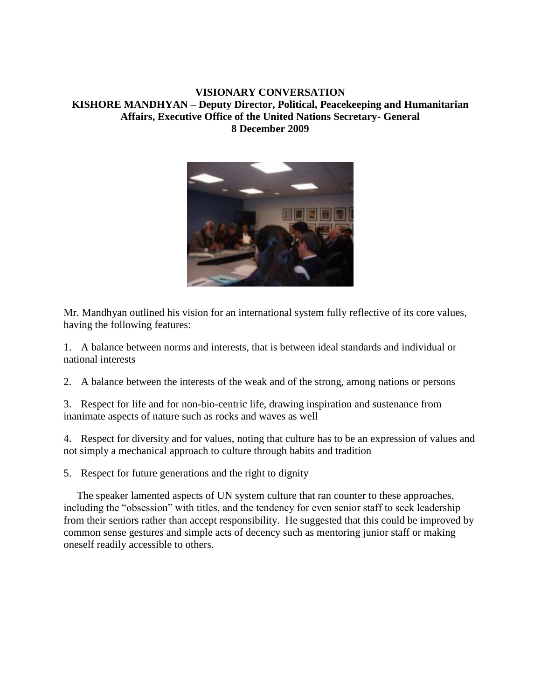## **VISIONARY CONVERSATION KISHORE MANDHYAN – Deputy Director, Political, Peacekeeping and Humanitarian Affairs, Executive Office of the United Nations Secretary- General 8 December 2009**



Mr. Mandhyan outlined his vision for an international system fully reflective of its core values, having the following features:

1. A balance between norms and interests, that is between ideal standards and individual or national interests

2. A balance between the interests of the weak and of the strong, among nations or persons

3. Respect for life and for non-bio-centric life, drawing inspiration and sustenance from inanimate aspects of nature such as rocks and waves as well

4. Respect for diversity and for values, noting that culture has to be an expression of values and not simply a mechanical approach to culture through habits and tradition

5. Respect for future generations and the right to dignity

 The speaker lamented aspects of UN system culture that ran counter to these approaches, including the "obsession" with titles, and the tendency for even senior staff to seek leadership from their seniors rather than accept responsibility. He suggested that this could be improved by common sense gestures and simple acts of decency such as mentoring junior staff or making oneself readily accessible to others.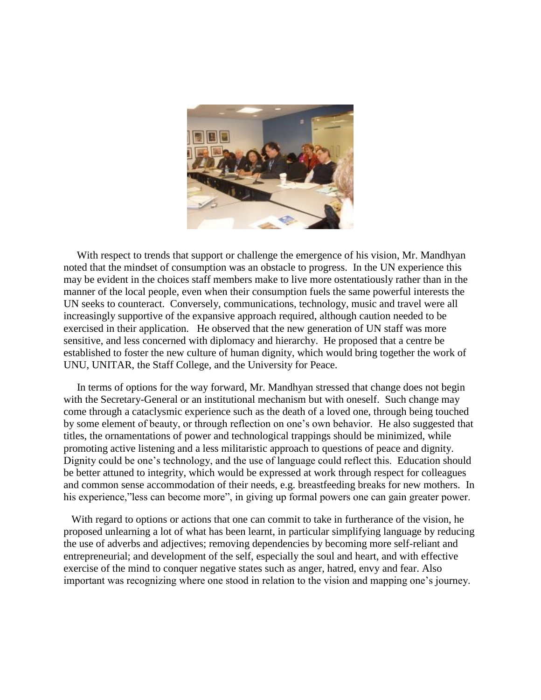

 With respect to trends that support or challenge the emergence of his vision, Mr. Mandhyan noted that the mindset of consumption was an obstacle to progress. In the UN experience this may be evident in the choices staff members make to live more ostentatiously rather than in the manner of the local people, even when their consumption fuels the same powerful interests the UN seeks to counteract. Conversely, communications, technology, music and travel were all increasingly supportive of the expansive approach required, although caution needed to be exercised in their application. He observed that the new generation of UN staff was more sensitive, and less concerned with diplomacy and hierarchy. He proposed that a centre be established to foster the new culture of human dignity, which would bring together the work of UNU, UNITAR, the Staff College, and the University for Peace.

 In terms of options for the way forward, Mr. Mandhyan stressed that change does not begin with the Secretary-General or an institutional mechanism but with oneself. Such change may come through a cataclysmic experience such as the death of a loved one, through being touched by some element of beauty, or through reflection on one's own behavior. He also suggested that titles, the ornamentations of power and technological trappings should be minimized, while promoting active listening and a less militaristic approach to questions of peace and dignity. Dignity could be one's technology, and the use of language could reflect this. Education should be better attuned to integrity, which would be expressed at work through respect for colleagues and common sense accommodation of their needs, e.g. breastfeeding breaks for new mothers. In his experience," less can become more", in giving up formal powers one can gain greater power.

 With regard to options or actions that one can commit to take in furtherance of the vision, he proposed unlearning a lot of what has been learnt, in particular simplifying language by reducing the use of adverbs and adjectives; removing dependencies by becoming more self-reliant and entrepreneurial; and development of the self, especially the soul and heart, and with effective exercise of the mind to conquer negative states such as anger, hatred, envy and fear. Also important was recognizing where one stood in relation to the vision and mapping one's journey.